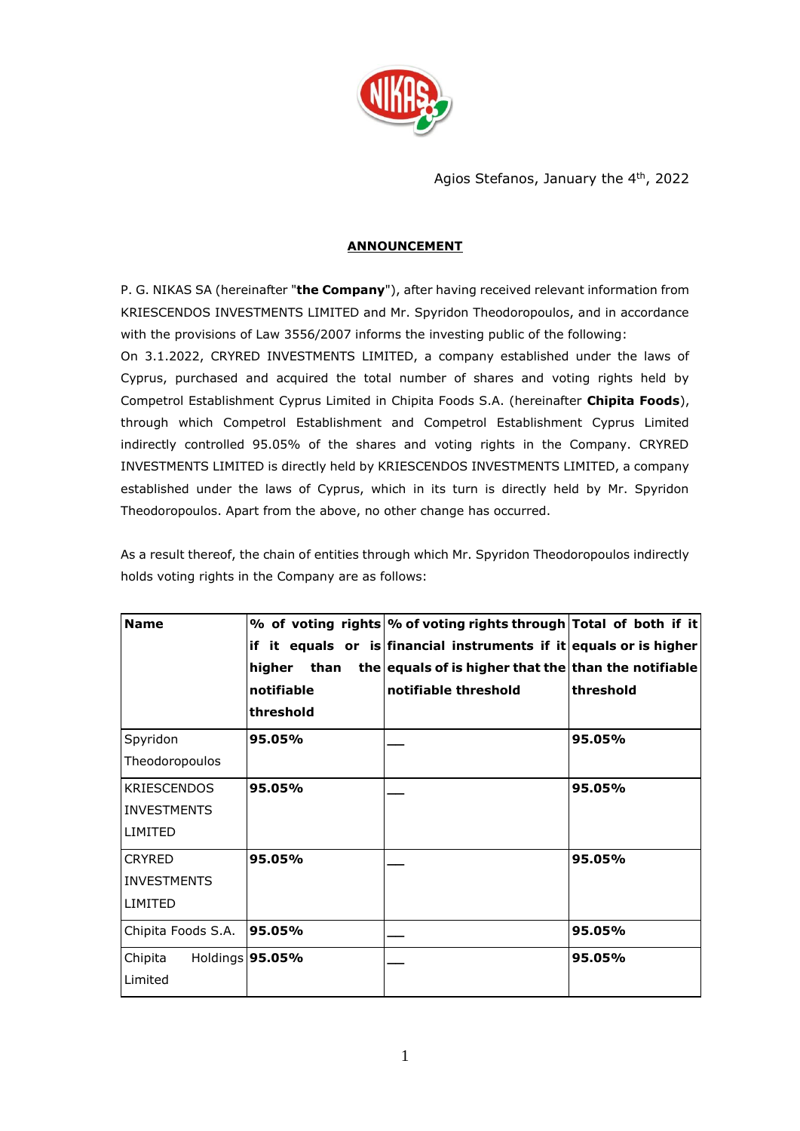

Agios Stefanos, January the 4<sup>th</sup>, 2022

## **ANNOUNCEMENT**

P. G. NIKAS SA (hereinafter "**the Company**"), after having received relevant information from KRIESCENDOS INVESTMENTS LIMITED and Mr. Spyridon Theodoropoulos, and in accordance with the provisions of Law 3556/2007 informs the investing public of the following:

On 3.1.2022, CRYRED INVESTMENTS LIMITED, a company established under the laws of Cyprus, purchased and acquired the total number of shares and voting rights held by Competrol Establishment Cyprus Limited in Chipita Foods S.A. (hereinafter **Chipita Foods**), through which Competrol Establishment and Competrol Establishment Cyprus Limited indirectly controlled 95.05% of the shares and voting rights in the Company. CRYRED INVESTMENTS LIMITED is directly held by KRIESCENDOS INVESTMENTS LIMITED, a company established under the laws of Cyprus, which in its turn is directly held by Mr. Spyridon Theodoropoulos. Apart from the above, no other change has occurred.

As a result thereof, the chain of entities through which Mr. Spyridon Theodoropoulos indirectly holds voting rights in the Company are as follows:

| <b>Name</b>        |                   | % of voting rights % of voting rights through Total of both if it  |           |
|--------------------|-------------------|--------------------------------------------------------------------|-----------|
|                    |                   | if it equals or is financial instruments if it equals or is higher |           |
|                    | than<br>higher    | the equals of is higher that the than the notifiable               |           |
|                    | notifiable        | notifiable threshold                                               | threshold |
|                    | threshold         |                                                                    |           |
| Spyridon           | 95.05%            |                                                                    | 95.05%    |
| Theodoropoulos     |                   |                                                                    |           |
| <b>KRIESCENDOS</b> | 95.05%            |                                                                    | 95.05%    |
| <b>INVESTMENTS</b> |                   |                                                                    |           |
| LIMITED            |                   |                                                                    |           |
| <b>CRYRED</b>      | 95.05%            |                                                                    | 95.05%    |
| <b>INVESTMENTS</b> |                   |                                                                    |           |
| LIMITED            |                   |                                                                    |           |
| Chipita Foods S.A. | 95.05%            |                                                                    | 95.05%    |
| Chipita            | Holdings   95.05% |                                                                    | 95.05%    |
| Limited            |                   |                                                                    |           |
|                    |                   |                                                                    |           |